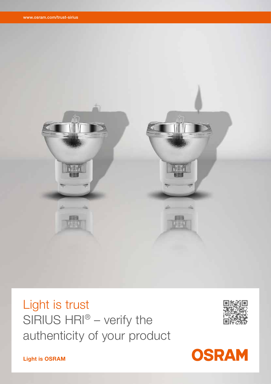

Light is trust SIRIUS HRI® – verify the authenticity of your product



**OSRAM** 

Light is OSRAM